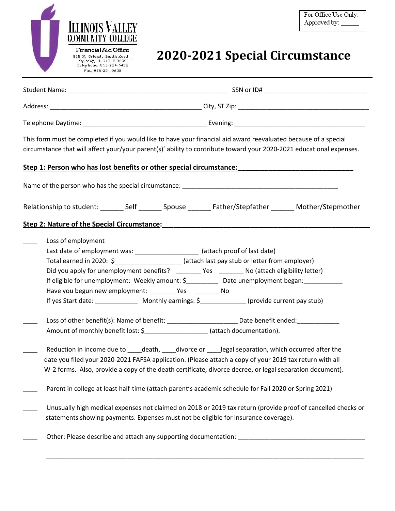

# **2020-2021 Special Circumstance**

| This form must be completed if you would like to have your financial aid award reevaluated because of a special<br>circumstance that will affect your/your parent(s)' ability to contribute toward your 2020-2021 educational expenses. |                                                                                                                                                                                                                                                                                                                                                                                                                                                |  |  |  |  |
|-----------------------------------------------------------------------------------------------------------------------------------------------------------------------------------------------------------------------------------------|------------------------------------------------------------------------------------------------------------------------------------------------------------------------------------------------------------------------------------------------------------------------------------------------------------------------------------------------------------------------------------------------------------------------------------------------|--|--|--|--|
| Step 1: Person who has lost benefits or other special circumstance: <b>Step 1: Person who has lost benefits</b>                                                                                                                         |                                                                                                                                                                                                                                                                                                                                                                                                                                                |  |  |  |  |
|                                                                                                                                                                                                                                         |                                                                                                                                                                                                                                                                                                                                                                                                                                                |  |  |  |  |
| Relationship to student: _________ Self _________ Spouse ________ Father/Stepfather ________ Mother/Stepmother                                                                                                                          |                                                                                                                                                                                                                                                                                                                                                                                                                                                |  |  |  |  |
|                                                                                                                                                                                                                                         | Step 2: Nature of the Special Circumstance: National Action of the Special Circumstance:                                                                                                                                                                                                                                                                                                                                                       |  |  |  |  |
|                                                                                                                                                                                                                                         | Loss of employment<br>Last date of employment was: _____________________ (attach proof of last date)<br>Total earned in 2020: \$ (attach last pay stub or letter from employer)<br>Did you apply for unemployment benefits? ________ Yes _______ No (attach eligibility letter)<br>If eligible for unemployment: Weekly amount: \$___________ Date unemployment began:____________<br>Have you begun new employment: _________ Yes ________ No |  |  |  |  |
|                                                                                                                                                                                                                                         | Loss of other benefit(s): Name of benefit: ___________________________Date benefit ended: ________________<br>Amount of monthly benefit lost: \$______________________ (attach documentation).                                                                                                                                                                                                                                                 |  |  |  |  |
|                                                                                                                                                                                                                                         | Reduction in income due to _____death, _____divorce or _____legal separation, which occurred after the<br>date you filed your 2020-2021 FAFSA application. (Please attach a copy of your 2019 tax return with all<br>W-2 forms. Also, provide a copy of the death certificate, divorce decree, or legal separation document).                                                                                                                  |  |  |  |  |
|                                                                                                                                                                                                                                         | Parent in college at least half-time (attach parent's academic schedule for Fall 2020 or Spring 2021)                                                                                                                                                                                                                                                                                                                                          |  |  |  |  |
|                                                                                                                                                                                                                                         | Unusually high medical expenses not claimed on 2018 or 2019 tax return (provide proof of cancelled checks or<br>statements showing payments. Expenses must not be eligible for insurance coverage).                                                                                                                                                                                                                                            |  |  |  |  |
|                                                                                                                                                                                                                                         |                                                                                                                                                                                                                                                                                                                                                                                                                                                |  |  |  |  |

\_\_\_\_\_\_\_\_\_\_\_\_\_\_\_\_\_\_\_\_\_\_\_\_\_\_\_\_\_\_\_\_\_\_\_\_\_\_\_\_\_\_\_\_\_\_\_\_\_\_\_\_\_\_\_\_\_\_\_\_\_\_\_\_\_\_\_\_\_\_\_\_\_\_\_\_\_\_\_\_\_\_\_\_\_\_\_\_\_\_